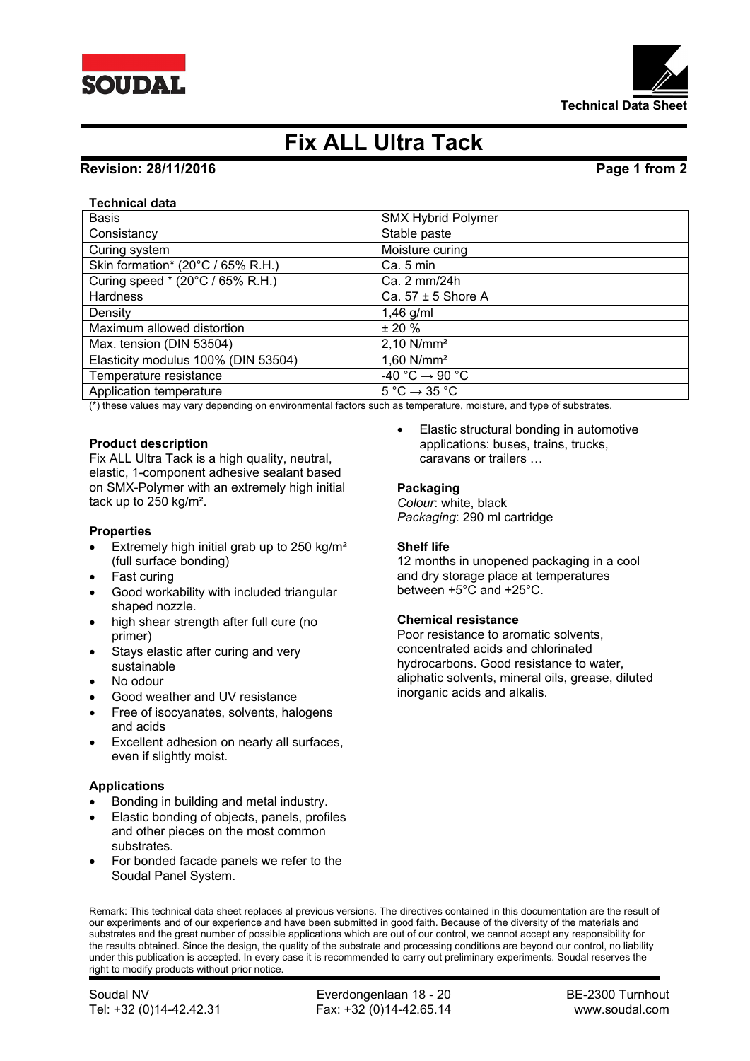



# **Fix ALL Ultra Tack**

# **Revision: 28/11/2016 Page 1 from 2**

### **Technical data**

| <b>Basis</b>                        | <b>SMX Hybrid Polymer</b>                   |
|-------------------------------------|---------------------------------------------|
| Consistancy                         | Stable paste                                |
| Curing system                       | Moisture curing                             |
| Skin formation* (20°C / 65% R.H.)   | Ca. 5 min                                   |
| Curing speed * (20°C / 65% R.H.)    | Ca. 2 mm/24h                                |
| <b>Hardness</b>                     | Ca. $57 \pm 5$ Shore A                      |
| Density                             | $1,46$ g/ml                                 |
| Maximum allowed distortion          | ± 20%                                       |
| Max. tension (DIN 53504)            | 2,10 N/mm <sup>2</sup>                      |
| Elasticity modulus 100% (DIN 53504) | $1,60$ N/mm <sup>2</sup>                    |
| Temperature resistance              | $-40 °C \rightarrow 90 °C$                  |
| Application temperature             | $5^{\circ}$ C $\rightarrow$ 35 $^{\circ}$ C |

(\*) these values may vary depending on environmental factors such as temperature, moisture, and type of substrates.

### **Product description**

Fix ALL Ultra Tack is a high quality, neutral, elastic, 1-component adhesive sealant based on SMX-Polymer with an extremely high initial tack up to 250 kg/m².

### **Properties**

- Extremely high initial grab up to 250 kg/m² (full surface bonding)
- Fast curing
- Good workability with included triangular shaped nozzle.
- high shear strength after full cure (no primer)
- Stays elastic after curing and very sustainable
- No odour
- Good weather and UV resistance
- Free of isocyanates, solvents, halogens and acids
- Excellent adhesion on nearly all surfaces, even if slightly moist.

### **Applications**

- Bonding in building and metal industry.
- Elastic bonding of objects, panels, profiles and other pieces on the most common substrates.
- For bonded facade panels we refer to the Soudal Panel System.

 Elastic structural bonding in automotive applications: buses, trains, trucks, caravans or trailers …

### **Packaging**

*Colour*: white, black *Packaging*: 290 ml cartridge

### **Shelf life**

12 months in unopened packaging in a cool and dry storage place at temperatures between +5°C and +25°C.

### **Chemical resistance**

Poor resistance to aromatic solvents, concentrated acids and chlorinated hydrocarbons. Good resistance to water, aliphatic solvents, mineral oils, grease, diluted inorganic acids and alkalis.

Remark: This technical data sheet replaces al previous versions. The directives contained in this documentation are the result of our experiments and of our experience and have been submitted in good faith. Because of the diversity of the materials and substrates and the great number of possible applications which are out of our control, we cannot accept any responsibility for the results obtained. Since the design, the quality of the substrate and processing conditions are beyond our control, no liability under this publication is accepted. In every case it is recommended to carry out preliminary experiments. Soudal reserves the right to modify products without prior notice.